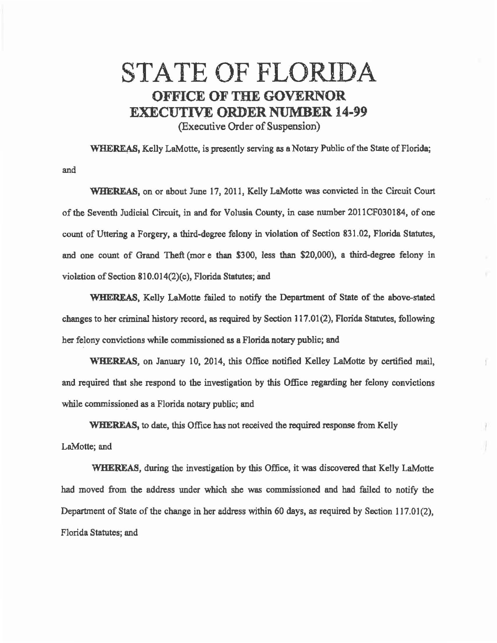## STATE OF FLORIDA **OFFICE OF THE GOVERNOR EXECUTIVE ORDER NUMBER 14-99**

(Executive Order of Suspension)

WHEREAS, Kelly LaMotte, is presently serving as a Notary Public of the State of Florida;

and

**WHEREAS,** on or about June 17, 2011, Kelly LaMotte was convicted in the Circuit Court of the Seventh Judicial Circuit, in and for Volusia County, in case number 2011CF030184, of one count of Uttering a Forgery, a third-degree felony in violation of Section 831.02, Florida Statutes, and one count of Grand Theft (more than \$300, less than \$20,000), a third-degree felony in violation of Section 810.014(2)(c), Florida Statutes; and

**WHEREAS,** Kelly LaMotte failed to notify the Department of State of the above-stated changes to her criminal history record, as required by Section 117.01(2), Florida Statutes, following her felony convictions while commissioned as a Florida notary public; and

WHEREAS, on January 10, 2014, this Office notified Kelley LaMotte by certified mail, and required that she respond to the investigation by this Office regarding her felony convictions while commissioned as a Florida notary public; and

**WHEREAS,** to date, this Office has not received the required response from Kelly LaMotte; and

WHEREAS, during the investigation by this Office, it was discovered that Kelly LaMotte had moved from the address under which she was commissioned and had failed to notify the Department of State of the change in her address within 60 days, as required by Section 117.01(2), Florida Statutes; and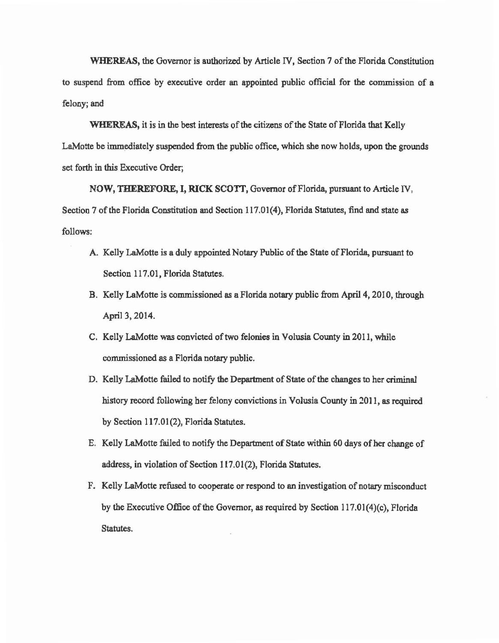WHEREAS, the Governor is authorized by Article IV, Section 7 of the Florida Constitution to suspend from office by executive order an appointed public official for the commission of a felony; and

WHEREAS, it is in the best interests of the citizens of the State of Florida that Kelly LaMotte be immediately suspended from the public office, which she now holds, upon the grounds set forth in this Executive Order;

NOW, THEREFORE, I, RICK SCOTT, Governor of Florida, pursuant to Article N , Section 7 of the Florida Constitution and Section 117.01(4), Florida Statutes, find and state as follows:

- A. Kelly LaMotte is a duly appointed Notary Public of the State of Florida, pursuant to Section 117.01, Florida Statutes.
- B. Kelly LaMotte is commissioned *as* a Florida notary public from April 4, 2010, through April 3, 2014.
- C. Kelly LaMotte *was* convicted of two felonies in Volusia County in 2011, while commissioned as a Florida notary public.
- D. Kelly LaMotte failed to notify the Department of State of the changes to her criminal history record following her felony convictions in Volusia County in 2011, as required by Section 117.01(2), Florida Statutes.
- E. Kelly LaMotte failed to notify the Department of State within 60 days of her change of address, in violation of Section 117.01(2), Florida Statutes.
- F. Kelly LaMotte refused to cooperate or respond to an investigation of notary misconduct by the Executive Office of the Governor, as required by Section 117.01(4)(c), Florida Statutes.